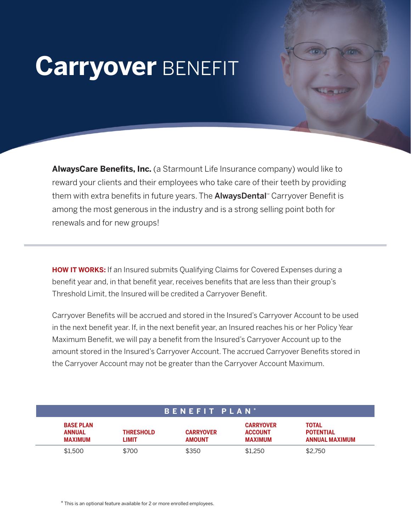## **Carryover** BENEFIT

**AlwaysCare Benefits, Inc.** (a Starmount Life Insurance company) would like to reward your clients and their employees who take care of their teeth by providing them with extra benefits in future years. The **AlwaysDental** Carryover Benefit is among the most generous in the industry and is a strong selling point both for renewals and for new groups!

**HOW IT WORKS:** If an Insured submits Qualifying Claims for Covered Expenses during a benefit year and, in that benefit year, receives benefits that are less than their group's Threshold Limit, the Insured will be credited a Carryover Benefit.

Carryover Benefits will be accrued and stored in the Insured's Carryover Account to be used in the next benefit year. If, in the next benefit year, an Insured reaches his or her Policy Year Maximum Benefit, we will pay a benefit from the Insured's Carryover Account up to the amount stored in the Insured's Carryover Account. The accrued Carryover Benefits stored in the Carryover Account may not be greater than the Carryover Account Maximum.

| BENEFIT PLAN <sup>*</sup>                           |                           |                                   |                                                      |                                                           |
|-----------------------------------------------------|---------------------------|-----------------------------------|------------------------------------------------------|-----------------------------------------------------------|
| <b>BASE PLAN</b><br><b>ANNUAL</b><br><b>MAXIMUM</b> | <b>THRESHOLD</b><br>LIMIT | <b>CARRYOVER</b><br><b>AMOUNT</b> | <b>CARRYOVER</b><br><b>ACCOUNT</b><br><b>MAXIMUM</b> | <b>TOTAL</b><br><b>POTENTIAL</b><br><b>ANNUAL MAXIMUM</b> |
| \$1,500                                             | \$700                     | \$350                             | \$1,250                                              | \$2.750                                                   |